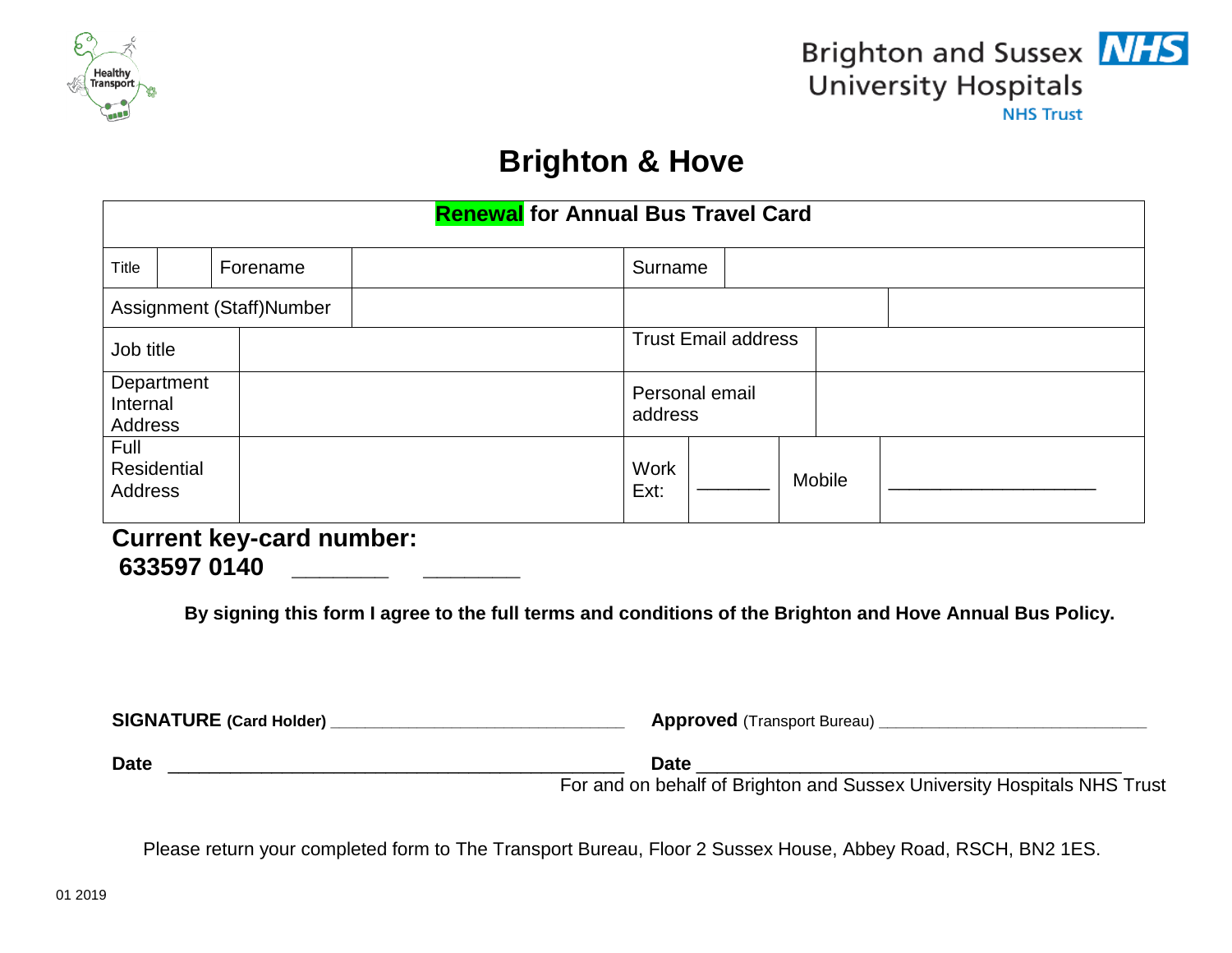



# **Brighton & Hove**

| <b>Renewal for Annual Bus Travel Card</b> |  |          |                           |                            |  |  |
|-------------------------------------------|--|----------|---------------------------|----------------------------|--|--|
| Title                                     |  | Forename | Surname                   |                            |  |  |
| Assignment (Staff)Number                  |  |          |                           |                            |  |  |
| Job title                                 |  |          |                           | <b>Trust Email address</b> |  |  |
| Department<br>Internal<br>Address         |  |          | Personal email<br>address |                            |  |  |
| Full<br>Residential<br><b>Address</b>     |  |          | <b>Work</b><br>Ext:       | Mobile                     |  |  |

## **Current key-card number: 633597 0140 \_\_\_\_\_\_\_ \_\_\_\_\_\_\_**

**By signing this form I agree to the full terms and conditions of the Brighton and Hove Annual Bus Policy.**

| <b>SIGNATURE (Card Holder)</b> | <b>Approved</b> (Transport Bureau) |
|--------------------------------|------------------------------------|
|                                |                                    |

**Date** \_\_\_\_\_\_\_\_\_\_\_\_\_\_\_\_\_\_\_\_\_\_\_\_\_\_\_\_\_\_\_\_\_\_\_\_\_\_\_\_\_\_\_\_ **Date** \_\_\_\_\_\_\_\_\_\_\_\_\_\_\_\_\_\_\_\_\_\_\_\_\_\_\_\_\_\_\_\_\_\_\_\_\_\_\_\_\_

For and on behalf of Brighton and Sussex University Hospitals NHS Trust

Please return your completed form to The Transport Bureau, Floor 2 Sussex House, Abbey Road, RSCH, BN2 1ES.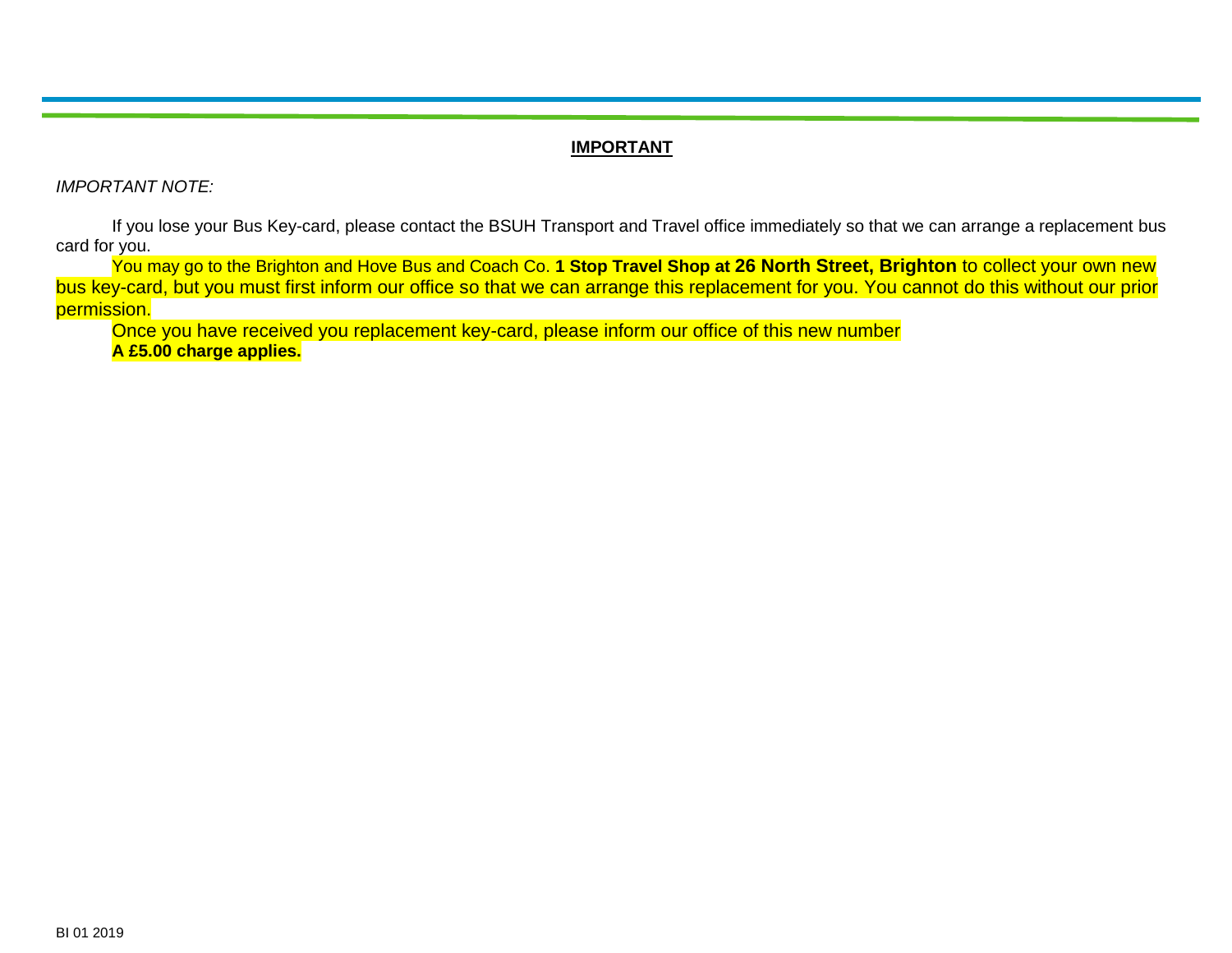#### **IMPORTANT**

*IMPORTANT NOTE:*

If you lose your Bus Key-card, please contact the BSUH Transport and Travel office immediately so that we can arrange a replacement bus card for you.

You may go to the Brighton and Hove Bus and Coach Co. **1 Stop Travel Shop at 26 North Street, Brighton** to collect your own new bus key-card, but you must first inform our office so that we can arrange this replacement for you. You cannot do this without our prior permission.

Once you have received you replacement key-card, please inform our office of this new number **A £5.00 charge applies.**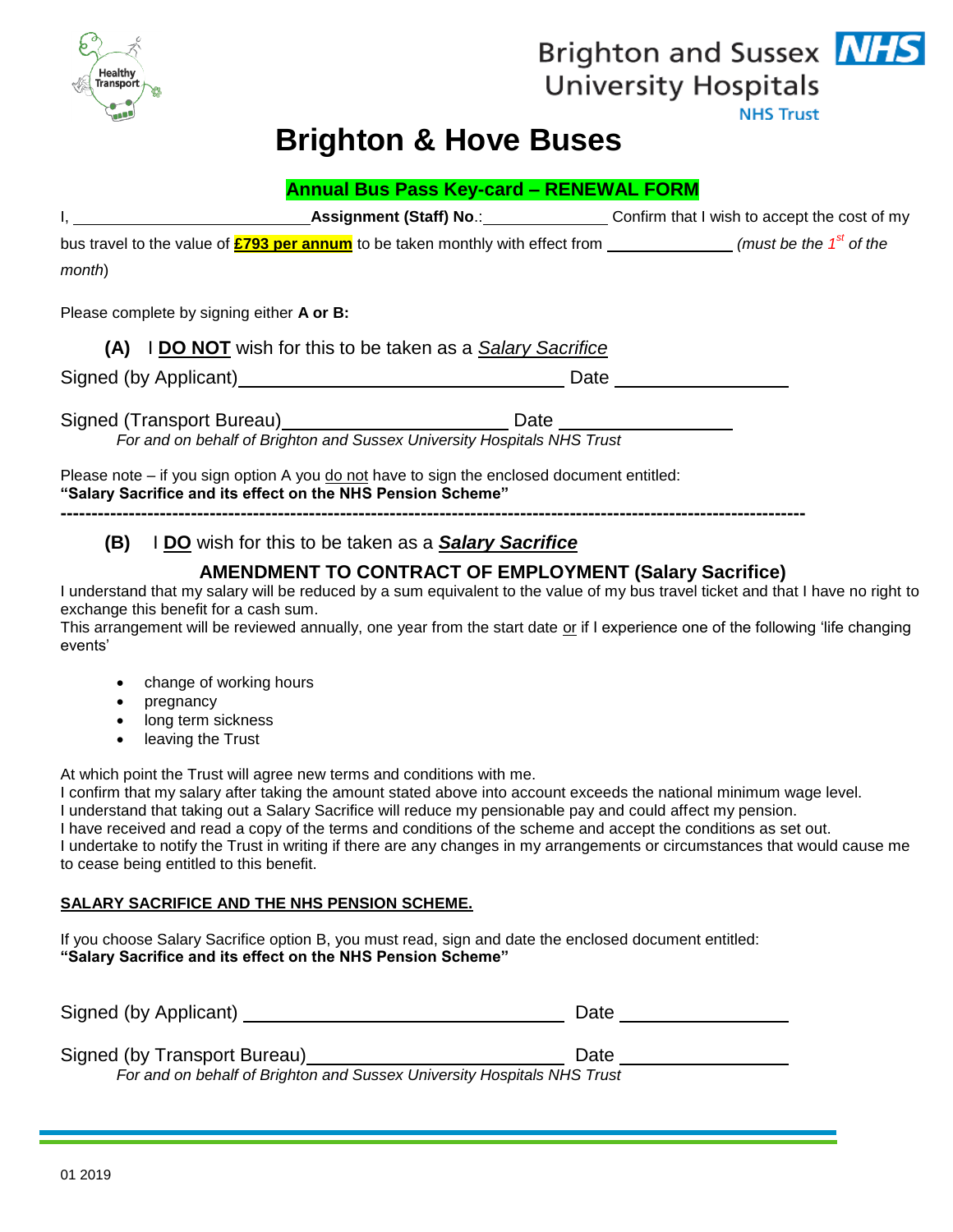

## Brighton and Sussex **NHS University Hospitals NHS Trust**

## **Brighton & Hove Buses**

|                                           | <b>Annual Bus Pass Key-card - RENEWAL FORM</b>                                                                                                            |      |  |
|-------------------------------------------|-----------------------------------------------------------------------------------------------------------------------------------------------------------|------|--|
|                                           | I, Confirm that I wish to accept the cost of my                                                                                                           |      |  |
|                                           | bus travel to the value of $\frac{2793}{2}$ per annum to be taken monthly with effect from _______________(must be the 1 <sup>st</sup> of the             |      |  |
| month)                                    |                                                                                                                                                           |      |  |
| Please complete by signing either A or B: |                                                                                                                                                           |      |  |
|                                           | (A) I DO NOT wish for this to be taken as a Salary Sacrifice                                                                                              |      |  |
|                                           |                                                                                                                                                           | Date |  |
|                                           | Signed (Transport Bureau)________________________________Date __________________                                                                          |      |  |
|                                           | For and on behalf of Brighton and Sussex University Hospitals NHS Trust                                                                                   |      |  |
|                                           | Please note – if you sign option A you do not have to sign the enclosed document entitled:<br>"Salary Sacrifice and its effect on the NHS Pension Scheme" |      |  |
| (B)                                       | I DO wish for this to be taken as a Salary Sacrifice                                                                                                      |      |  |

### **AMENDMENT TO CONTRACT OF EMPLOYMENT (Salary Sacrifice)**

I understand that my salary will be reduced by a sum equivalent to the value of my bus travel ticket and that I have no right to exchange this benefit for a cash sum.

This arrangement will be reviewed annually, one year from the start date or if I experience one of the following 'life changing events'

- change of working hours
- pregnancy
- long term sickness
- leaving the Trust

At which point the Trust will agree new terms and conditions with me.

I confirm that my salary after taking the amount stated above into account exceeds the national minimum wage level. I understand that taking out a Salary Sacrifice will reduce my pensionable pay and could affect my pension. I have received and read a copy of the terms and conditions of the scheme and accept the conditions as set out. I undertake to notify the Trust in writing if there are any changes in my arrangements or circumstances that would cause me to cease being entitled to this benefit.

### **SALARY SACRIFICE AND THE NHS PENSION SCHEME.**

If you choose Salary Sacrifice option B, you must read, sign and date the enclosed document entitled: **"Salary Sacrifice and its effect on the NHS Pension Scheme"**

| Signed (by Applicant) | Date |
|-----------------------|------|
|                       |      |

| Signed (by Transport Bureau) |  | Date |
|------------------------------|--|------|
|------------------------------|--|------|

*For and on behalf of Brighton and Sussex University Hospitals NHS Trust*